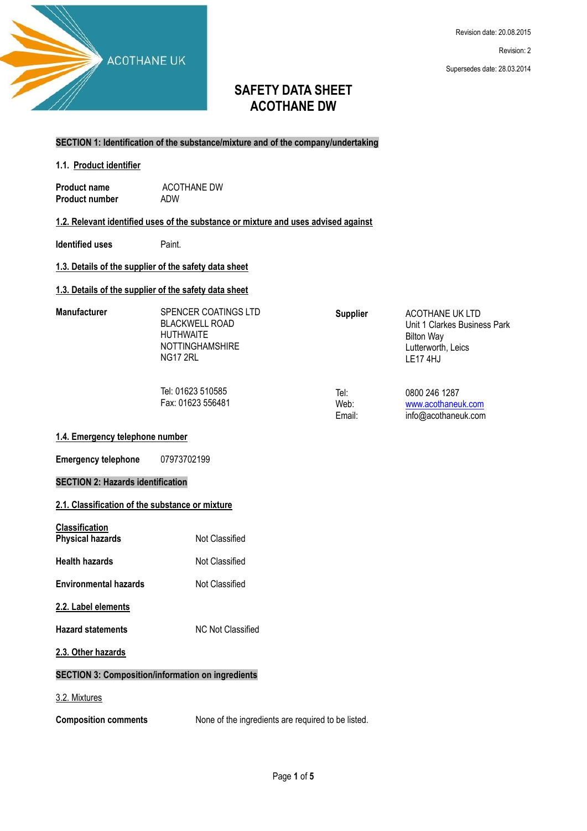

#### **SECTION 1: Identification of the substance/mixture and of the company/undertaking**

#### **1.1. Product identifier**

**Product name** ACOTHANE DW **Product number** ADW

#### **1.2. Relevant identified uses of the substance or mixture and uses advised against**

**Identified uses** Paint.

# **1.3. Details of the supplier of the safety data sheet**

## **1.3. Details of the supplier of the safety data sheet**

| Manufacturer | SPENCER COATINGS LTD<br><b>BLACKWELL ROAD</b><br><b>HUTHWAITE</b><br><b>NOTTINGHAMSHIRE</b><br><b>NG17 2RL</b> | <b>Supplier</b> | ACOTHANE UK LTD<br>Unit 1 Clarkes Business Park<br><b>Bilton Way</b><br>Lutterworth, Leics<br>LE174HJ |
|--------------|----------------------------------------------------------------------------------------------------------------|-----------------|-------------------------------------------------------------------------------------------------------|
|              | Tel: 01623 510585                                                                                              | Tel:            | 0800 246 1287                                                                                         |

Tel: 01623 510585 Fax: 01623 556481

Web: [www.acothaneuk.com](http://www.acothaneuk.com/) Email: info@acothaneuk.com

## **1.4. Emergency telephone number**

**Emergency telephone** 07973702199

## **SECTION 2: Hazards identification**

## **2.1. Classification of the substance or mixture**

| <b>Classification</b><br><b>Physical hazards</b> | Not Classified |  |  |
|--------------------------------------------------|----------------|--|--|
| <b>Health hazards</b>                            | Not Classified |  |  |

- **Environmental hazards** Not Classified
- **2.2. Label elements**
- **Hazard statements** NC Not Classified

**2.3. Other hazards**

# **SECTION 3: Composition/information on ingredients**

3.2. Mixtures

**Composition comments** None of the ingredients are required to be listed.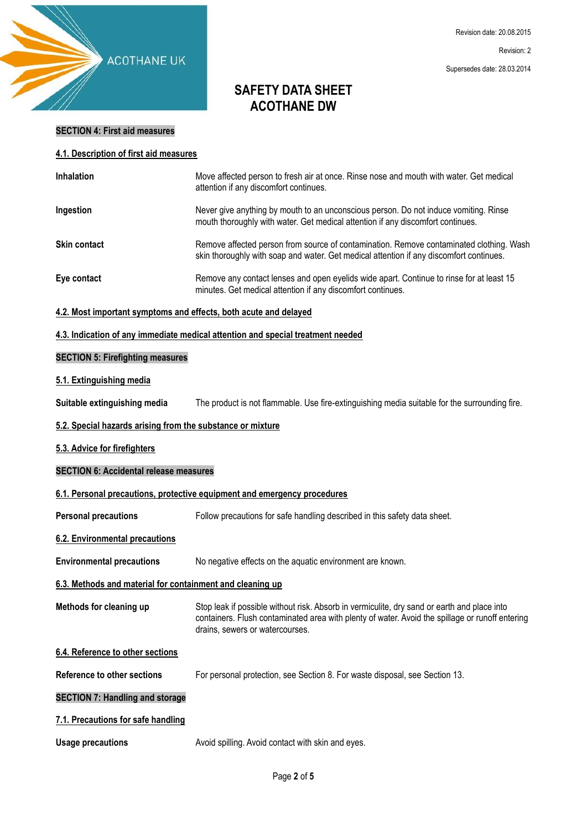

# **SECTION 4: First aid measures**

#### **4.1. Description of first aid measures**

| Inhalation                                                               | Move affected person to fresh air at once. Rinse nose and mouth with water. Get medical<br>attention if any discomfort continues.                                                  |  |  |
|--------------------------------------------------------------------------|------------------------------------------------------------------------------------------------------------------------------------------------------------------------------------|--|--|
| Ingestion                                                                | Never give anything by mouth to an unconscious person. Do not induce vomiting. Rinse<br>mouth thoroughly with water. Get medical attention if any discomfort continues.            |  |  |
| <b>Skin contact</b>                                                      | Remove affected person from source of contamination. Remove contaminated clothing. Wash<br>skin thoroughly with soap and water. Get medical attention if any discomfort continues. |  |  |
| Eye contact                                                              | Remove any contact lenses and open eyelids wide apart. Continue to rinse for at least 15<br>minutes. Get medical attention if any discomfort continues.                            |  |  |
| 4.2. Most important symptoms and effects, both acute and delayed         |                                                                                                                                                                                    |  |  |
|                                                                          | 4.3. Indication of any immediate medical attention and special treatment needed                                                                                                    |  |  |
| <b>SECTION 5: Firefighting measures</b>                                  |                                                                                                                                                                                    |  |  |
| 5.1. Extinguishing media                                                 |                                                                                                                                                                                    |  |  |
| Suitable extinguishing media                                             | The product is not flammable. Use fire-extinguishing media suitable for the surrounding fire.                                                                                      |  |  |
| 5.2. Special hazards arising from the substance or mixture               |                                                                                                                                                                                    |  |  |
| 5.3. Advice for firefighters                                             |                                                                                                                                                                                    |  |  |
| <b>SECTION 6: Accidental release measures</b>                            |                                                                                                                                                                                    |  |  |
| 6.1. Personal precautions, protective equipment and emergency procedures |                                                                                                                                                                                    |  |  |
| <b>Personal precautions</b>                                              | Follow precautions for safe handling described in this safety data sheet.                                                                                                          |  |  |
| 6.2. Environmental precautions                                           |                                                                                                                                                                                    |  |  |

# **Environmental precautions** No negative effects on the aquatic environment are known.

## **6.3. Methods and material for containment and cleaning up**

**Methods for cleaning up** Stop leak if possible without risk. Absorb in vermiculite, dry sand or earth and place into containers. Flush contaminated area with plenty of water. Avoid the spillage or runoff entering drains, sewers or watercourses.

# **6.4. Reference to other sections**

**Reference to other sections** For personal protection, see Section 8. For waste disposal, see Section 13.

#### **SECTION 7: Handling and storage**

## **7.1. Precautions for safe handling**

**Usage precautions** Avoid spilling. Avoid contact with skin and eyes.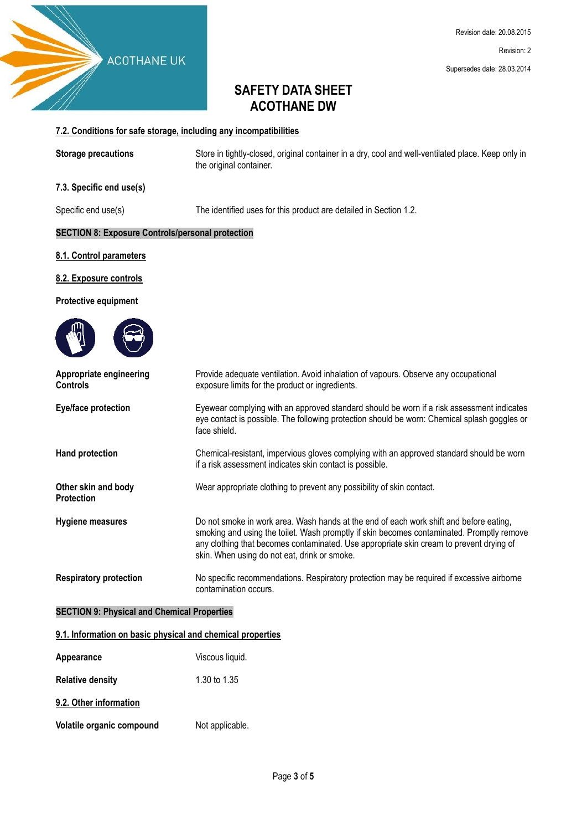

#### **7.2. Conditions for safe storage, including any incompatibilities**

**Storage precautions** Store in tightly-closed, original container in a dry, cool and well-ventilated place. Keep only in the original container. **7.3. Specific end use(s)** Specific end use(s) The identified uses for this product are detailed in Section 1.2. **SECTION 8: Exposure Controls/personal protection 8.1. Control parameters 8.2. Exposure controls Protective equipment Appropriate engineering** Provide adequate ventilation. Avoid inhalation of vapours. Observe any occupational **Controls** exposure limits for the product or ingredients. **Eye/face protection** Eyewear complying with an approved standard should be worn if a risk assessment indicates eye contact is possible. The following protection should be worn: Chemical splash goggles or face shield. **Hand protection** Chemical-resistant, impervious gloves complying with an approved standard should be worn if a risk assessment indicates skin contact is possible. **Other skin and body** Wear appropriate clothing to prevent any possibility of skin contact. **Protection Hygiene measures** Do not smoke in work area. Wash hands at the end of each work shift and before eating, smoking and using the toilet. Wash promptly if skin becomes contaminated. Promptly remove any clothing that becomes contaminated. Use appropriate skin cream to prevent drying of skin. When using do not eat, drink or smoke. **Respiratory protection** No specific recommendations. Respiratory protection may be required if excessive airborne contamination occurs. **SECTION 9: Physical and Chemical Properties 9.1. Information on basic physical and chemical properties**

# **Appearance** Viscous liquid. **Relative density** 1.30 to 1.35

**9.2. Other information**

**Volatile organic compound** Not applicable.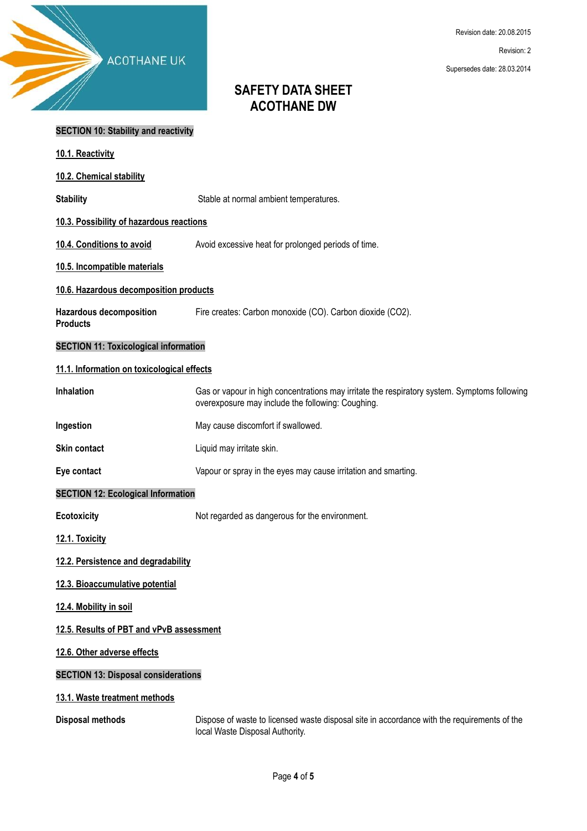

| <b>SECTION 10: Stability and reactivity</b>       |                                                                                                                                                   |  |  |
|---------------------------------------------------|---------------------------------------------------------------------------------------------------------------------------------------------------|--|--|
| 10.1. Reactivity                                  |                                                                                                                                                   |  |  |
| 10.2. Chemical stability                          |                                                                                                                                                   |  |  |
| <b>Stability</b>                                  | Stable at normal ambient temperatures.                                                                                                            |  |  |
| 10.3. Possibility of hazardous reactions          |                                                                                                                                                   |  |  |
| 10.4. Conditions to avoid                         | Avoid excessive heat for prolonged periods of time.                                                                                               |  |  |
| 10.5. Incompatible materials                      |                                                                                                                                                   |  |  |
| 10.6. Hazardous decomposition products            |                                                                                                                                                   |  |  |
| <b>Hazardous decomposition</b><br><b>Products</b> | Fire creates: Carbon monoxide (CO). Carbon dioxide (CO2).                                                                                         |  |  |
| <b>SECTION 11: Toxicological information</b>      |                                                                                                                                                   |  |  |
| 11.1. Information on toxicological effects        |                                                                                                                                                   |  |  |
| Inhalation                                        | Gas or vapour in high concentrations may irritate the respiratory system. Symptoms following<br>overexposure may include the following: Coughing. |  |  |
| Ingestion                                         | May cause discomfort if swallowed.                                                                                                                |  |  |
| Skin contact                                      | Liquid may irritate skin.                                                                                                                         |  |  |
| Eye contact                                       | Vapour or spray in the eyes may cause irritation and smarting.                                                                                    |  |  |
| <b>SECTION 12: Ecological Information</b>         |                                                                                                                                                   |  |  |
| Ecotoxicity                                       | Not regarded as dangerous for the environment.                                                                                                    |  |  |
| 12.1. Toxicity                                    |                                                                                                                                                   |  |  |
| 12.2. Persistence and degradability               |                                                                                                                                                   |  |  |
| 12.3. Bioaccumulative potential                   |                                                                                                                                                   |  |  |
| 12.4. Mobility in soil                            |                                                                                                                                                   |  |  |
| 12.5. Results of PBT and vPvB assessment          |                                                                                                                                                   |  |  |
| 12.6. Other adverse effects                       |                                                                                                                                                   |  |  |
| <b>SECTION 13: Disposal considerations</b>        |                                                                                                                                                   |  |  |
| 13.1. Waste treatment methods                     |                                                                                                                                                   |  |  |
| <b>Disposal methods</b>                           | Dispose of waste to licensed waste disposal site in accordance with the requirements of the<br>local Waste Disposal Authority.                    |  |  |